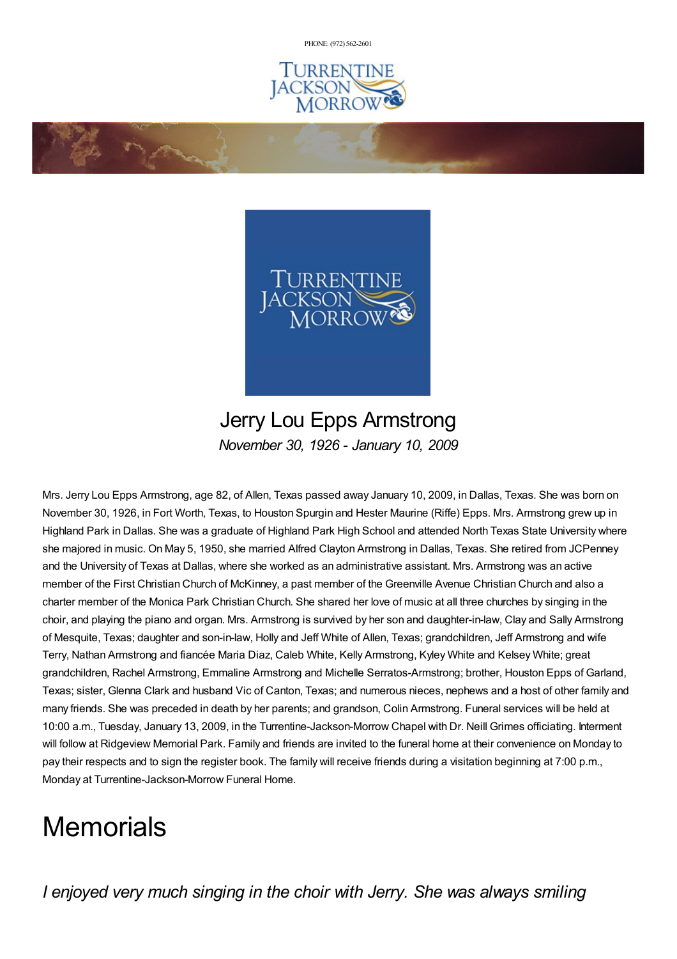PHONE: (972) [562-2601](tel:(972) 562-2601)





## Jerry Lou Epps Armstrong *November 30, 1926 - January 10, 2009*

Mrs. Jerry Lou Epps Armstrong, age 82, of Allen, Texas passed away January 10, 2009, in Dallas, Texas. She was born on November 30, 1926, in Fort Worth, Texas, to Houston Spurgin and Hester Maurine (Riffe) Epps. Mrs. Armstrong grew up in Highland Park in Dallas. She was a graduate of Highland Park High School and attended North Texas State University where she majored in music. On May 5, 1950, she married Alfred Clayton Armstrong in Dallas, Texas. She retired from JCPenney and the University of Texas at Dallas, where she worked as an administrative assistant. Mrs. Armstrong was an active member of the First Christian Church of McKinney, a past member of the Greenville Avenue Christian Church and also a charter member of the Monica Park Christian Church. She shared her love of music at all three churches by singing in the choir, and playing the piano and organ. Mrs. Armstrong is survived by her son and daughter-in-law, Clay and Sally Armstrong of Mesquite, Texas; daughter and son-in-law, Holly and Jeff White of Allen, Texas; grandchildren, Jeff Armstrong and wife Terry, Nathan Armstrong and fiancée Maria Diaz, Caleb White, Kelly Armstrong, Kyley White and Kelsey White; great grandchildren, Rachel Armstrong, Emmaline Armstrong and Michelle Serratos-Armstrong; brother, Houston Epps of Garland, Texas; sister, Glenna Clark and husband Vic of Canton, Texas; and numerous nieces, nephews and a host of other family and many friends. She was preceded in death by her parents; and grandson, Colin Armstrong. Funeral services will be held at 10:00 a.m., Tuesday, January 13, 2009, in the Turrentine-Jackson-Morrow Chapel with Dr. Neill Grimes officiating. Interment will follow at Ridgeview Memorial Park. Family and friends are invited to the funeral home at their convenience on Monday to pay their respects and to sign the register book. The family will receive friends during a visitation beginning at 7:00 p.m., Monday at Turrentine-Jackson-Morrow Funeral Home.

## **Memorials**

*I enjoyed very much singing in the choir with Jerry. She was always smiling*